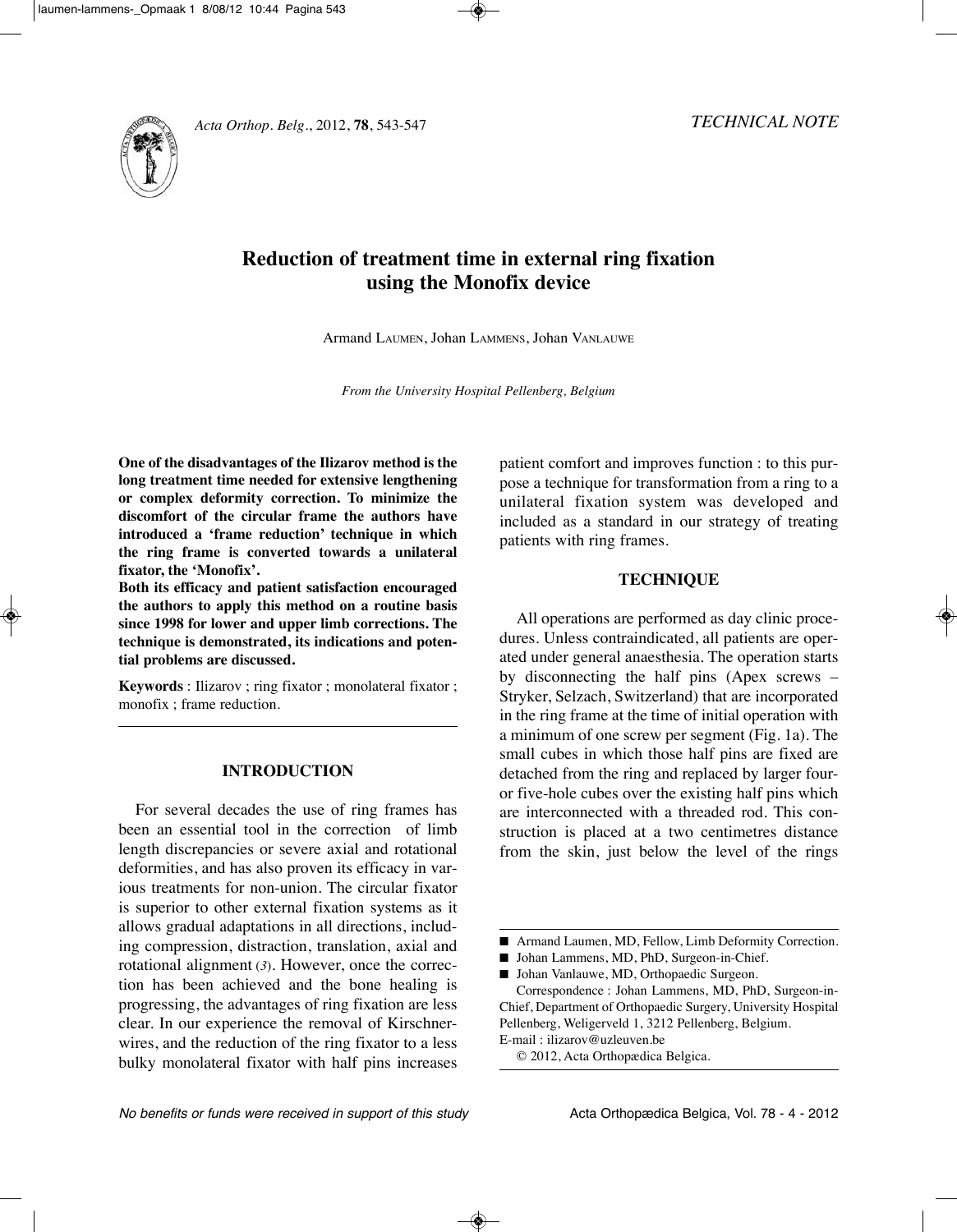

# **Reduction of treatment time in external ring fixation using the Monofix device**

Armand LAUMEn, Johan LAMMEnS, Johan VAnLAUWE

*From the University Hospital Pellenberg, Belgium*

**One of the disadvantages of the Ilizarov method is the long treatment time needed for extensive lengthening or complex deformity correction. To minimize the discomfort of the circular frame the authors have introduced a 'frame reduction' technique in which the ring frame is converted towards a unilateral fixator, the 'Monofix'.**

**Both its efficacy and patient satisfaction encouraged the authors to apply this method on a routine basis since 1998 for lower and upper limb corrections. The technique is demonstrated, its indications and potential problems are discussed.**

**Keywords** : Ilizarov ; ring fixator ; monolateral fixator ; monofix ; frame reduction.

## **INTRODUCTION**

For several decades the use of ring frames has been an essential tool in the correction of limb length discrepancies or severe axial and rotational deformities, and has also proven its efficacy in various treatments for non-union. The circular fixator is superior to other external fixation systems as it allows gradual adaptations in all directions, including compression, distraction, translation, axial and rotational alignment (*3*). However, once the correction has been achieved and the bone healing is progressing, the advantages of ring fixation are less clear. In our experience the removal of Kirschnerwires, and the reduction of the ring fixator to a less bulky monolateral fixator with half pins increases

patient comfort and improves function : to this purpose a technique for transformation from a ring to a unilateral fixation system was developed and included as a standard in our strategy of treating patients with ring frames.

### **TECHNIQUE**

All operations are performed as day clinic procedures. Unless contraindicated, all patients are operated under general anaesthesia. The operation starts by disconnecting the half pins (Apex screws – Stryker, Selzach, Switzerland) that are incorporated in the ring frame at the time of initial operation with a minimum of one screw per segment (Fig. 1a). The small cubes in which those half pins are fixed are detached from the ring and replaced by larger fouror five-hole cubes over the existing half pins which are interconnected with a threaded rod. This construction is placed at a two centimetres distance from the skin, just below the level of the rings

■ Johan Vanlauwe, MD, Orthopaedic Surgeon.

Correspondence : Johan Lammens, MD, PhD, Surgeon-in-Chief, Department of Orthopaedic Surgery, University Hospital Pellenberg, Weligerveld 1, 3212 Pellenberg, Belgium. E-mail : ilizarov@uzleuven.be

© 2012, Acta Orthopædica Belgica.

<sup>■</sup> Armand Laumen, MD, Fellow, Limb Deformity Correction.

<sup>■</sup> Johan Lammens, MD, PhD, Surgeon-in-Chief.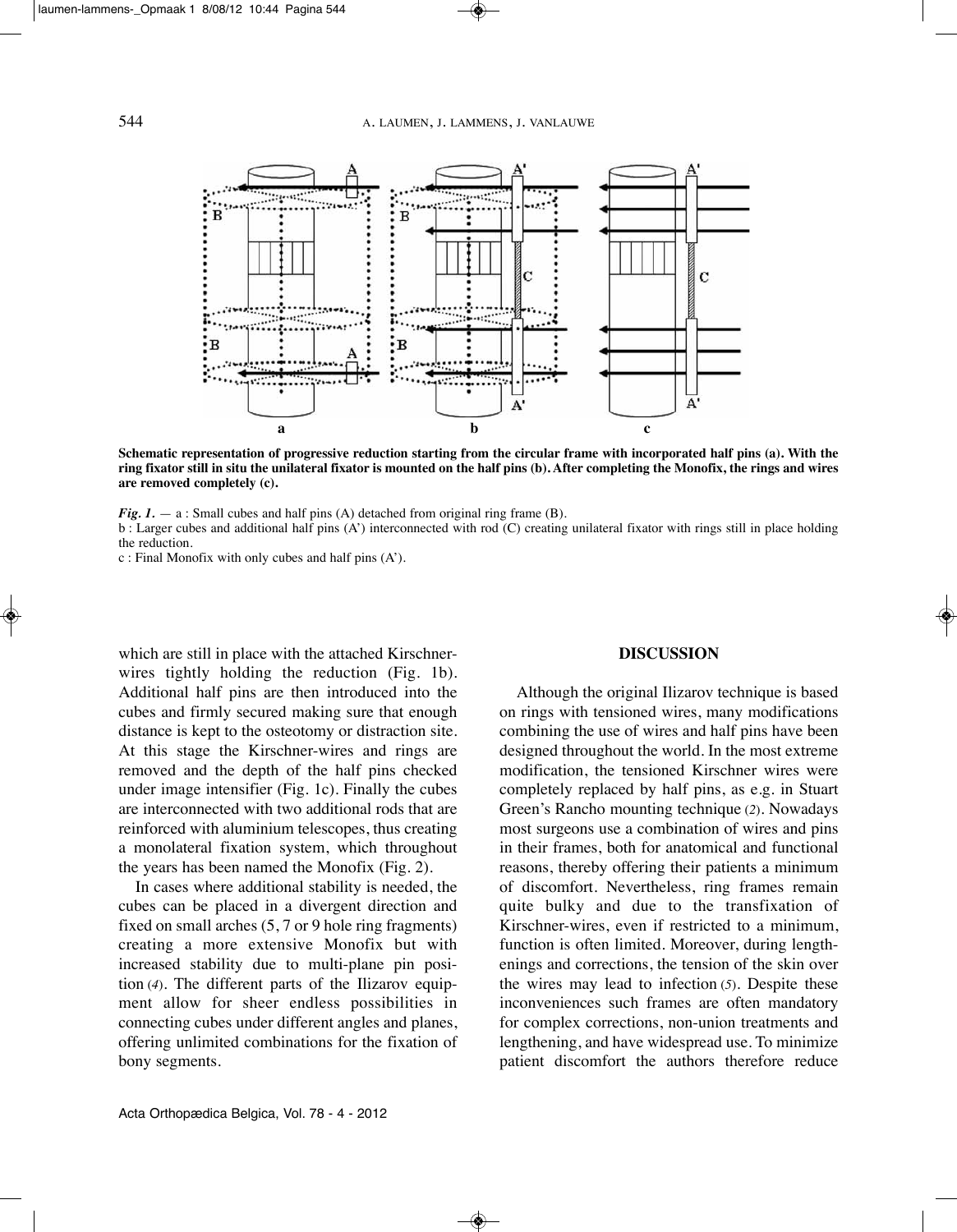

Schematic representation of progressive reduction starting from the circular frame with incorporated half pins (a). With the ring fixator still in situ the unilateral fixator is mounted on the half pins (b). After completing the Monofix, the rings and wires **are removed completely (c).**

*Fig. 1.* — a: Small cubes and half pins (A) detached from original ring frame (B).

b : Larger cubes and additional half pins (A') interconnected with rod (C) creating unilateral fixator with rings still in place holding the reduction.

c : Final Monofix with only cubes and half pins (A').

which are still in place with the attached Kirschnerwires tightly holding the reduction (Fig. 1b). Additional half pins are then introduced into the cubes and firmly secured making sure that enough distance is kept to the osteotomy or distraction site. At this stage the Kirschner-wires and rings are removed and the depth of the half pins checked under image intensifier (Fig. 1c). Finally the cubes are interconnected with two additional rods that are reinforced with aluminium telescopes, thus creating a monolateral fixation system, which throughout the years has been named the Monofix (Fig. 2).

In cases where additional stability is needed, the cubes can be placed in a divergent direction and fixed on small arches (5, 7 or 9 hole ring fragments) creating a more extensive Monofix but with increased stability due to multi-plane pin position (*4*). The different parts of the Ilizarov equipment allow for sheer endless possibilities in connecting cubes under different angles and planes, offering unlimited combinations for the fixation of bony segments.

#### **DISCUSSION**

Although the original Ilizarov technique is based on rings with tensioned wires, many modifications combining the use of wires and half pins have been designed throughout the world. In the most extreme modification, the tensioned Kirschner wires were completely replaced by half pins, as e.g. in Stuart Green's Rancho mounting technique (2). Nowadays most surgeons use a combination of wires and pins in their frames, both for anatomical and functional reasons, thereby offering their patients a minimum of discomfort. nevertheless, ring frames remain quite bulky and due to the transfixation of Kirschner-wires, even if restricted to a minimum, function is often limited. Moreover, during lengthenings and corrections, the tension of the skin over the wires may lead to infection (*5*). Despite these inconveniences such frames are often mandatory for complex corrections, non-union treatments and lengthening, and have widespread use. To minimize patient discomfort the authors therefore reduce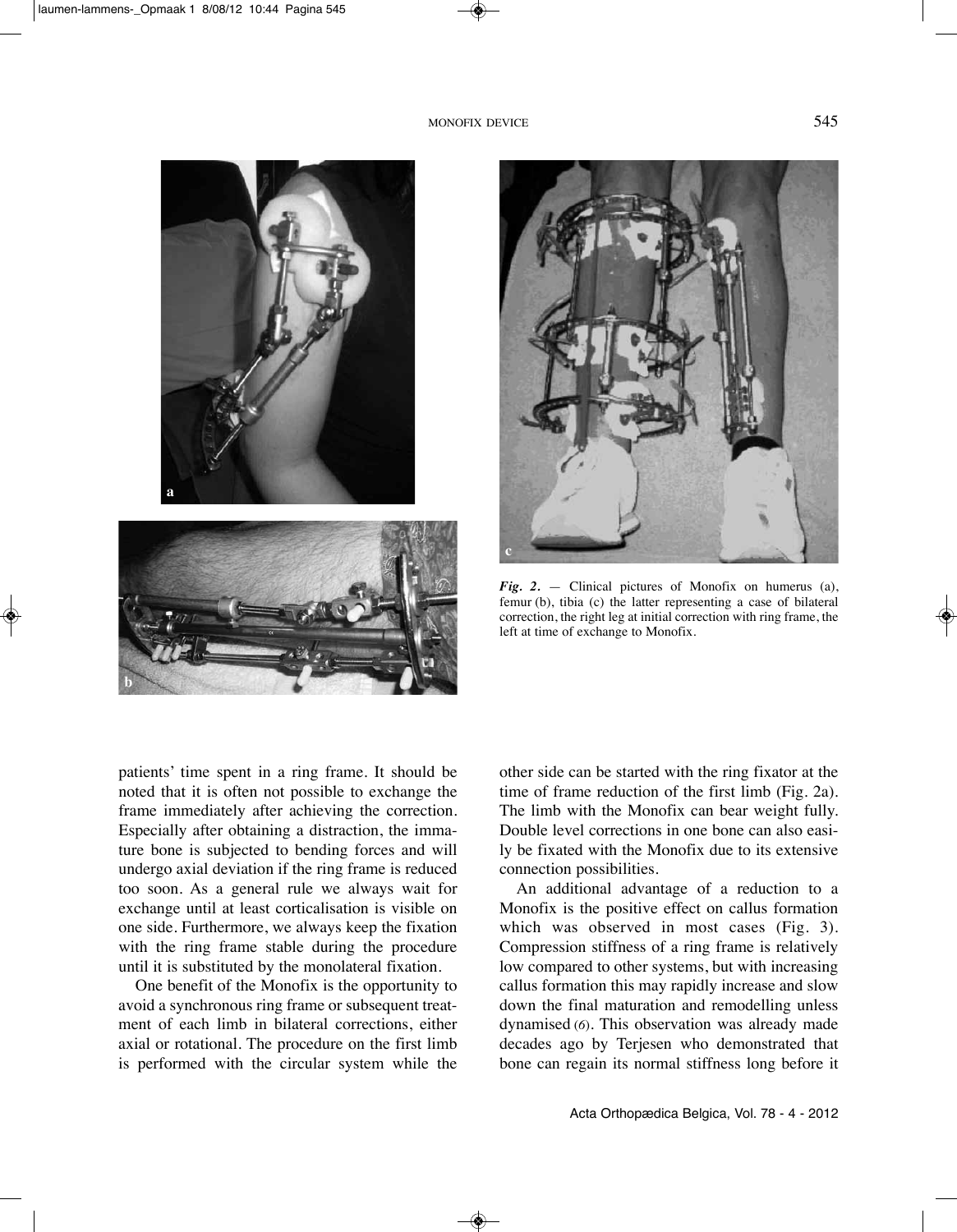



*Fig. 2.* — Clinical pictures of Monofix on humerus (a), femur (b), tibia (c) the latter representing a case of bilateral correction, the right leg at initial correction with ring frame, the left at time of exchange to Monofix.

patients' time spent in a ring frame. It should be noted that it is often not possible to exchange the frame immediately after achieving the correction. Especially after obtaining a distraction, the immature bone is subjected to bending forces and will undergo axial deviation if the ring frame is reduced too soon. As a general rule we always wait for exchange until at least corticalisation is visible on one side. Furthermore, we always keep the fixation with the ring frame stable during the procedure until it is substituted by the monolateral fixation.

One benefit of the Monofix is the opportunity to avoid a synchronous ring frame or subsequent treatment of each limb in bilateral corrections, either axial or rotational. The procedure on the first limb is performed with the circular system while the

other side can be started with the ring fixator at the time of frame reduction of the first limb (Fig. 2a). The limb with the Monofix can bear weight fully. Double level corrections in one bone can also easily be fixated with the Monofix due to its extensive connection possibilities.

An additional advantage of a reduction to a Monofix is the positive effect on callus formation which was observed in most cases (Fig. 3). Compression stiffness of a ring frame is relatively low compared to other systems, but with increasing callus formation this may rapidly increase and slow down the final maturation and remodelling unless dynamised (*6*). This observation was already made decades ago by Terjesen who demonstrated that bone can regain its normal stiffness long before it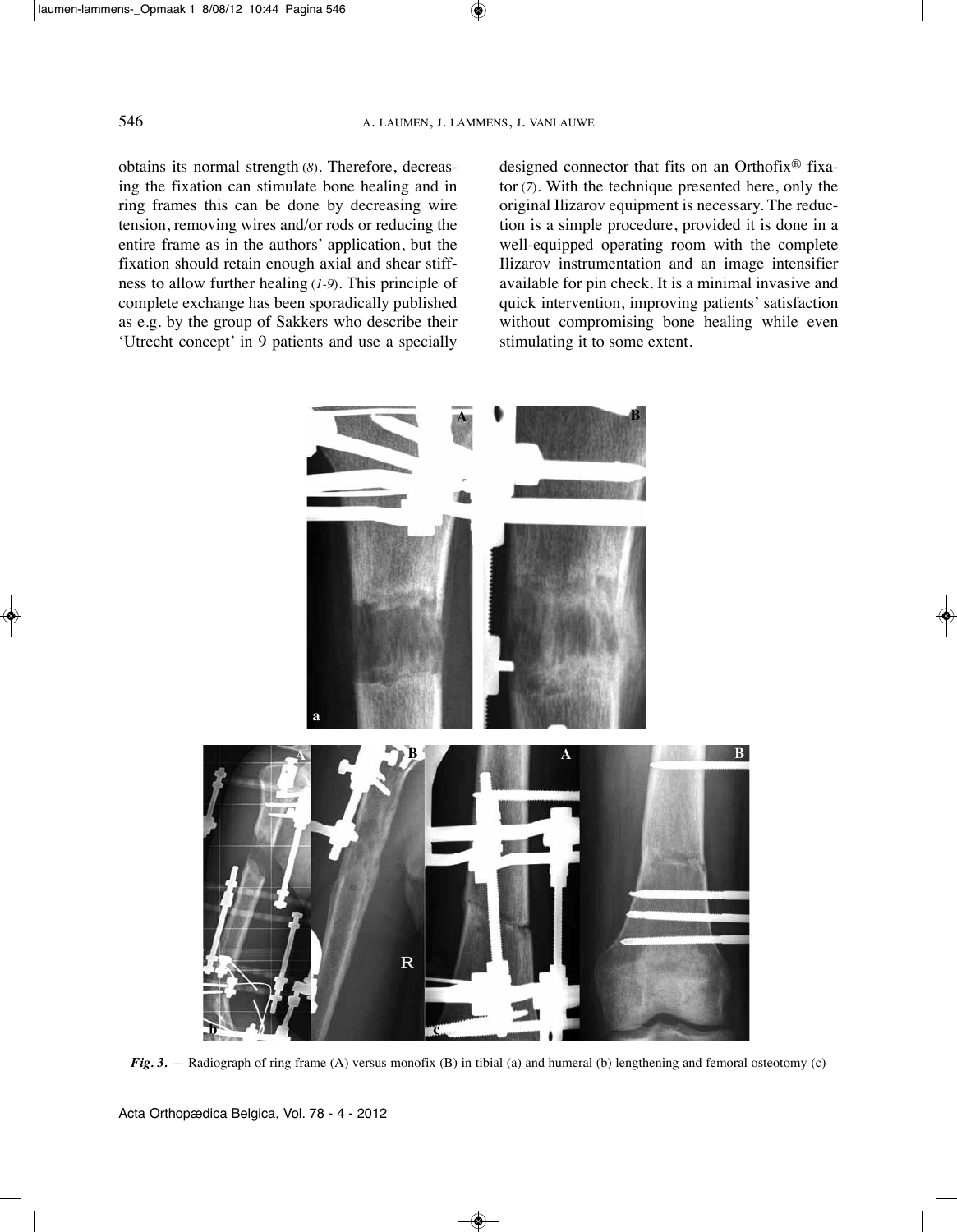obtains its normal strength (*8*). Therefore, decreasing the fixation can stimulate bone healing and in ring frames this can be done by decreasing wire tension, removing wires and/or rods or reducing the entire frame as in the authors' application, but the fixation should retain enough axial and shear stiffness to allow further healing (*1-9*). This principle of complete exchange has been sporadically published as e.g. by the group of Sakkers who describe their 'Utrecht concept' in 9 patients and use a specially designed connector that fits on an Orthofix® fixator (*7*). With the technique presented here, only the original Ilizarov equipment is necessary. The reduction is a simple procedure, provided it is done in a well-equipped operating room with the complete Ilizarov instrumentation and an image intensifier available for pin check. It is a minimal invasive and quick intervention, improving patients' satisfaction without compromising bone healing while even stimulating it to some extent.



*Fig. 3.* — Radiograph of ring frame (A) versus monofix (B) in tibial (a) and humeral (b) lengthening and femoral osteotomy (c)